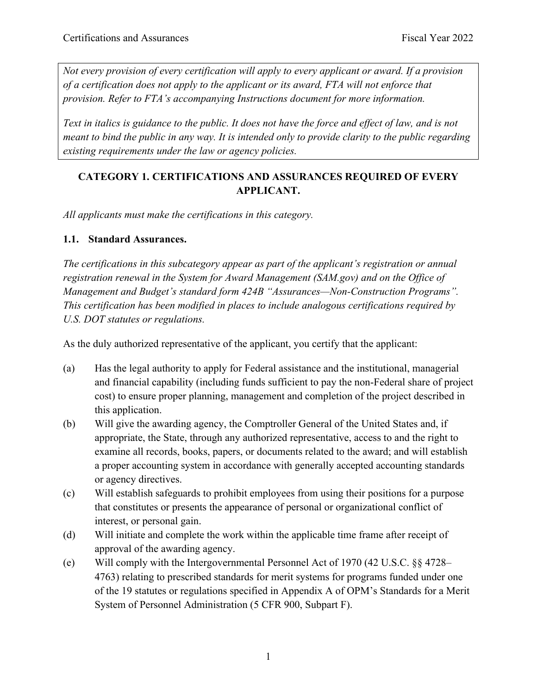*Not every provision of every certification will apply to every applicant or award. If a provision of a certification does not apply to the applicant or its award, FTA will not enforce that provision. Refer to FTA's accompanying Instructions document for more information.*

*Text in italics is guidance to the public. It does not have the force and effect of law, and is not meant to bind the public in any way. It is intended only to provide clarity to the public regarding existing requirements under the law or agency policies.*

# **CATEGORY 1. CERTIFICATIONS AND ASSURANCES REQUIRED OF EVERY APPLICANT.**

*All applicants must make the certifications in this category.*

#### **1.1. Standard Assurances.**

*The certifications in this subcategory appear as part of the applicant's registration or annual registration renewal in the System for Award Management (SAM.gov) and on the Office of Management and Budget's standard form 424B "Assurances—Non-Construction Programs". This certification has been modified in places to include analogous certifications required by U.S. DOT statutes or regulations.*

As the duly authorized representative of the applicant, you certify that the applicant:

- (a) Has the legal authority to apply for Federal assistance and the institutional, managerial and financial capability (including funds sufficient to pay the non-Federal share of project cost) to ensure proper planning, management and completion of the project described in this application.
- (b) Will give the awarding agency, the Comptroller General of the United States and, if appropriate, the State, through any authorized representative, access to and the right to examine all records, books, papers, or documents related to the award; and will establish a proper accounting system in accordance with generally accepted accounting standards or agency directives.
- (c) Will establish safeguards to prohibit employees from using their positions for a purpose that constitutes or presents the appearance of personal or organizational conflict of interest, or personal gain.
- (d) Will initiate and complete the work within the applicable time frame after receipt of approval of the awarding agency.
- (e) Will comply with the Intergovernmental Personnel Act of 1970 (42 U.S.C. §§ 4728– 4763) relating to prescribed standards for merit systems for programs funded under one of the 19 statutes or regulations specified in Appendix A of OPM's Standards for a Merit System of Personnel Administration (5 CFR 900, Subpart F).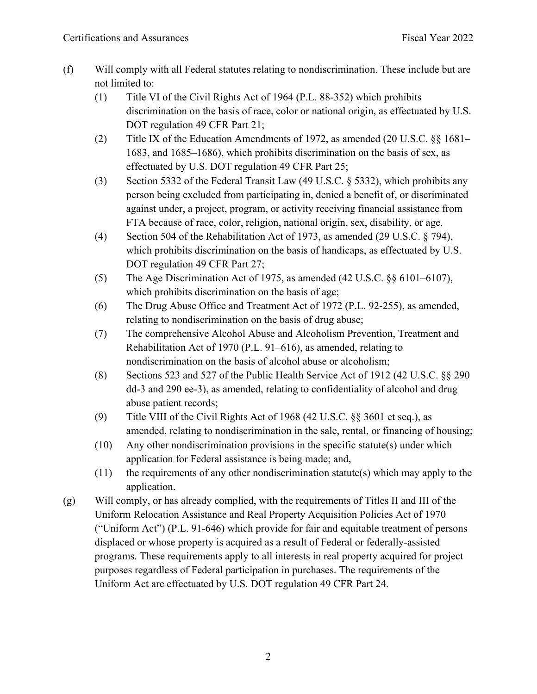- (f) Will comply with all Federal statutes relating to nondiscrimination. These include but are not limited to:
	- (1) Title VI of the Civil Rights Act of 1964 (P.L. 88-352) which prohibits discrimination on the basis of race, color or national origin, as effectuated by U.S. DOT regulation 49 CFR Part 21;
	- (2) Title IX of the Education Amendments of 1972, as amended (20 U.S.C. §§ 1681– 1683, and 1685–1686), which prohibits discrimination on the basis of sex, as effectuated by U.S. DOT regulation 49 CFR Part 25;
	- (3) Section 5332 of the Federal Transit Law (49 U.S.C. § 5332), which prohibits any person being excluded from participating in, denied a benefit of, or discriminated against under, a project, program, or activity receiving financial assistance from FTA because of race, color, religion, national origin, sex, disability, or age.
	- (4) Section 504 of the Rehabilitation Act of 1973, as amended (29 U.S.C. § 794), which prohibits discrimination on the basis of handicaps, as effectuated by U.S. DOT regulation 49 CFR Part 27;
	- (5) The Age Discrimination Act of 1975, as amended (42 U.S.C. §§ 6101–6107), which prohibits discrimination on the basis of age;
	- (6) The Drug Abuse Office and Treatment Act of 1972 (P.L. 92-255), as amended, relating to nondiscrimination on the basis of drug abuse;
	- (7) The comprehensive Alcohol Abuse and Alcoholism Prevention, Treatment and Rehabilitation Act of 1970 (P.L. 91–616), as amended, relating to nondiscrimination on the basis of alcohol abuse or alcoholism;
	- (8) Sections 523 and 527 of the Public Health Service Act of 1912 (42 U.S.C. §§ 290 dd-3 and 290 ee-3), as amended, relating to confidentiality of alcohol and drug abuse patient records;
	- (9) Title VIII of the Civil Rights Act of 1968 (42 U.S.C. §§ 3601 et seq.), as amended, relating to nondiscrimination in the sale, rental, or financing of housing;
	- (10) Any other nondiscrimination provisions in the specific statute(s) under which application for Federal assistance is being made; and,
	- (11) the requirements of any other nondiscrimination statute(s) which may apply to the application.
- (g) Will comply, or has already complied, with the requirements of Titles II and III of the Uniform Relocation Assistance and Real Property Acquisition Policies Act of 1970 ("Uniform Act") (P.L. 91-646) which provide for fair and equitable treatment of persons displaced or whose property is acquired as a result of Federal or federally-assisted programs. These requirements apply to all interests in real property acquired for project purposes regardless of Federal participation in purchases. The requirements of the Uniform Act are effectuated by U.S. DOT regulation 49 CFR Part 24.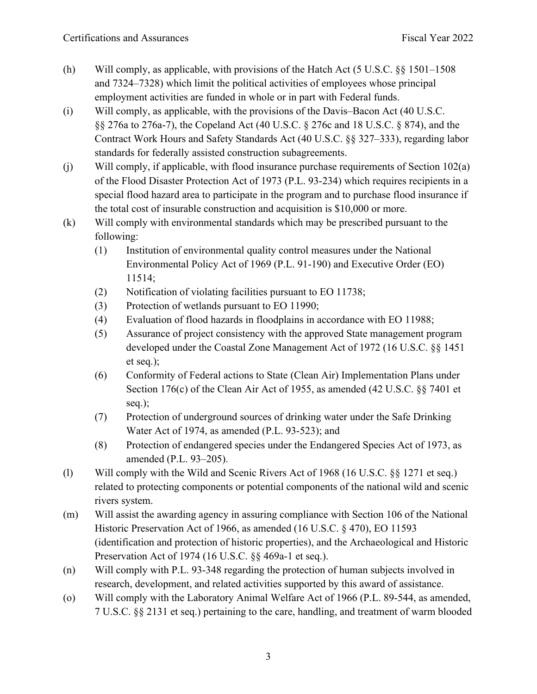- (h) Will comply, as applicable, with provisions of the Hatch Act (5 U.S.C. §§ 1501–1508 and 7324–7328) which limit the political activities of employees whose principal employment activities are funded in whole or in part with Federal funds.
- (i) Will comply, as applicable, with the provisions of the Davis–Bacon Act (40 U.S.C. §§ 276a to 276a-7), the Copeland Act (40 U.S.C. § 276c and 18 U.S.C. § 874), and the Contract Work Hours and Safety Standards Act (40 U.S.C. §§ 327–333), regarding labor standards for federally assisted construction subagreements.
- (j) Will comply, if applicable, with flood insurance purchase requirements of Section 102(a) of the Flood Disaster Protection Act of 1973 (P.L. 93-234) which requires recipients in a special flood hazard area to participate in the program and to purchase flood insurance if the total cost of insurable construction and acquisition is \$10,000 or more.
- (k) Will comply with environmental standards which may be prescribed pursuant to the following:
	- (1) Institution of environmental quality control measures under the National Environmental Policy Act of 1969 (P.L. 91-190) and Executive Order (EO) 11514;
	- (2) Notification of violating facilities pursuant to EO 11738;
	- (3) Protection of wetlands pursuant to EO 11990;
	- (4) Evaluation of flood hazards in floodplains in accordance with EO 11988;
	- (5) Assurance of project consistency with the approved State management program developed under the Coastal Zone Management Act of 1972 (16 U.S.C. §§ 1451 et seq.);
	- (6) Conformity of Federal actions to State (Clean Air) Implementation Plans under Section 176(c) of the Clean Air Act of 1955, as amended (42 U.S.C. §§ 7401 et seq.);
	- (7) Protection of underground sources of drinking water under the Safe Drinking Water Act of 1974, as amended (P.L. 93-523); and
	- (8) Protection of endangered species under the Endangered Species Act of 1973, as amended (P.L. 93–205).
- (l) Will comply with the Wild and Scenic Rivers Act of 1968 (16 U.S.C. §§ 1271 et seq.) related to protecting components or potential components of the national wild and scenic rivers system.
- (m) Will assist the awarding agency in assuring compliance with Section 106 of the National Historic Preservation Act of 1966, as amended (16 U.S.C. § 470), EO 11593 (identification and protection of historic properties), and the Archaeological and Historic Preservation Act of 1974 (16 U.S.C. §§ 469a-1 et seq.).
- (n) Will comply with P.L. 93-348 regarding the protection of human subjects involved in research, development, and related activities supported by this award of assistance.
- (o) Will comply with the Laboratory Animal Welfare Act of 1966 (P.L. 89-544, as amended, 7 U.S.C. §§ 2131 et seq.) pertaining to the care, handling, and treatment of warm blooded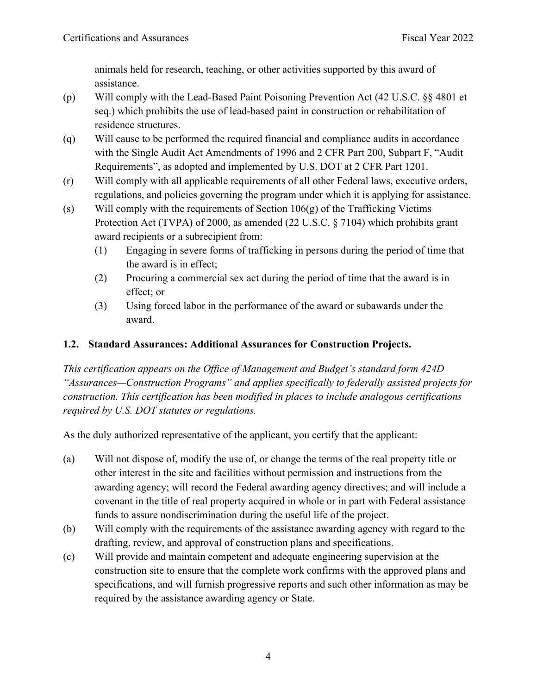animals held for research, teaching, or other activities supported by this award of assistance.

- (p) Will comply with the Lead-Based Paint Poisoning Prevention Act (42 U.S.C. §§ 4801 et seq.) which prohibits the use of lead-based paint in construction or rehabilitation of residence structures.
- (q) Will cause to be performed the required financial and compliance audits in accordance with the Single Audit Act Amendments of 1996 and 2 CFR Part 200, Subpart F, "Audit Requirements", as adopted and implemented by U.S. DOT at 2 CFR Part 1201.
- (r) Will comply with all applicable requirements of all other Federal laws, executive orders, regulations, and policies governing the program under which it is applying for assistance.
- (s) Will comply with the requirements of Section  $106(g)$  of the Trafficking Victims Protection Act (TVPA) of 2000, as amended (22 U.S.C. § 7104) which prohibits grant award recipients or a subrecipient from:
	- (1) Engaging in severe forms of trafficking in persons during the period of time that the award is in effect;
	- (2) Procuring a commercial sex act during the period of time that the award is in effect; or
	- (3) Using forced labor in the performance of the award or subawards under the award.

# **1.2. Standard Assurances: Additional Assurances for Construction Projects.**

*This certification appears on the Office of Management and Budget's standard form 424D "Assurances—Construction Programs" and applies specifically to federally assisted projects for construction. This certification has been modified in places to include analogous certifications required by U.S. DOT statutes or regulations.*

As the duly authorized representative of the applicant, you certify that the applicant:

- (a) Will not dispose of, modify the use of, or change the terms of the real property title or other interest in the site and facilities without permission and instructions from the awarding agency; will record the Federal awarding agency directives; and will include a covenant in the title of real property acquired in whole or in part with Federal assistance funds to assure nondiscrimination during the useful life of the project.
- (b) Will comply with the requirements of the assistance awarding agency with regard to the drafting, review, and approval of construction plans and specifications.
- (c) Will provide and maintain competent and adequate engineering supervision at the construction site to ensure that the complete work confirms with the approved plans and specifications, and will furnish progressive reports and such other information as may be required by the assistance awarding agency or State.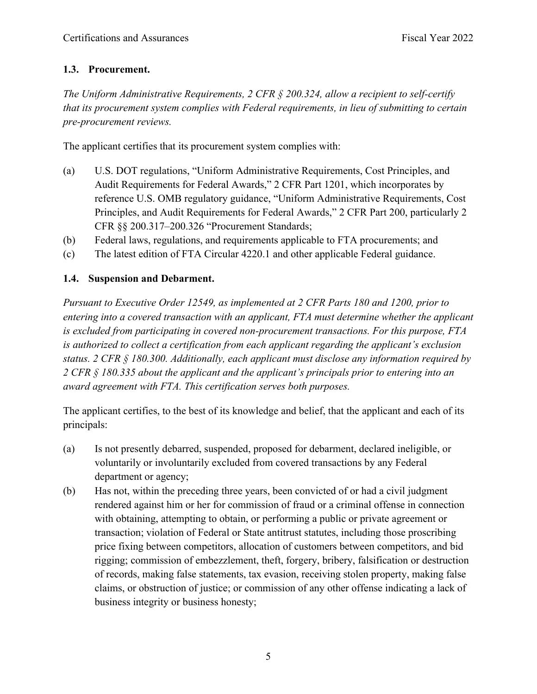## **1.3. Procurement.**

*The Uniform Administrative Requirements, 2 CFR § 200.324, allow a recipient to self-certify that its procurement system complies with Federal requirements, in lieu of submitting to certain pre-procurement reviews.*

The applicant certifies that its procurement system complies with:

- (a) U.S. DOT regulations, "Uniform Administrative Requirements, Cost Principles, and Audit Requirements for Federal Awards," 2 CFR Part 1201, which incorporates by reference U.S. OMB regulatory guidance, "Uniform Administrative Requirements, Cost Principles, and Audit Requirements for Federal Awards," 2 CFR Part 200, particularly 2 CFR §§ 200.317–200.326 "Procurement Standards;
- (b) Federal laws, regulations, and requirements applicable to FTA procurements; and
- (c) The latest edition of FTA Circular 4220.1 and other applicable Federal guidance.

## **1.4. Suspension and Debarment.**

*Pursuant to Executive Order 12549, as implemented at 2 CFR Parts 180 and 1200, prior to entering into a covered transaction with an applicant, FTA must determine whether the applicant is excluded from participating in covered non-procurement transactions. For this purpose, FTA is authorized to collect a certification from each applicant regarding the applicant's exclusion status. 2 CFR § 180.300. Additionally, each applicant must disclose any information required by 2 CFR § 180.335 about the applicant and the applicant's principals prior to entering into an award agreement with FTA. This certification serves both purposes.*

The applicant certifies, to the best of its knowledge and belief, that the applicant and each of its principals:

- (a) Is not presently debarred, suspended, proposed for debarment, declared ineligible, or voluntarily or involuntarily excluded from covered transactions by any Federal department or agency;
- (b) Has not, within the preceding three years, been convicted of or had a civil judgment rendered against him or her for commission of fraud or a criminal offense in connection with obtaining, attempting to obtain, or performing a public or private agreement or transaction; violation of Federal or State antitrust statutes, including those proscribing price fixing between competitors, allocation of customers between competitors, and bid rigging; commission of embezzlement, theft, forgery, bribery, falsification or destruction of records, making false statements, tax evasion, receiving stolen property, making false claims, or obstruction of justice; or commission of any other offense indicating a lack of business integrity or business honesty;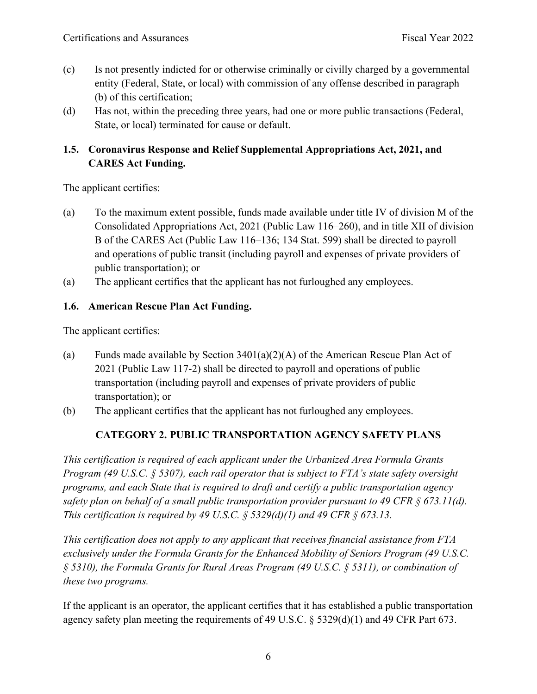- (c) Is not presently indicted for or otherwise criminally or civilly charged by a governmental entity (Federal, State, or local) with commission of any offense described in paragraph (b) of this certification;
- (d) Has not, within the preceding three years, had one or more public transactions (Federal, State, or local) terminated for cause or default.

# **1.5. Coronavirus Response and Relief Supplemental Appropriations Act, 2021, and CARES Act Funding.**

The applicant certifies:

- (a) To the maximum extent possible, funds made available under title IV of division M of the Consolidated Appropriations Act, 2021 (Public Law 116–260), and in title XII of division B of the CARES Act (Public Law 116–136; 134 Stat. 599) shall be directed to payroll and operations of public transit (including payroll and expenses of private providers of public transportation); or
- (a) The applicant certifies that the applicant has not furloughed any employees.

#### **1.6. American Rescue Plan Act Funding.**

The applicant certifies:

- (a) Funds made available by Section  $3401(a)(2)(A)$  of the American Rescue Plan Act of 2021 (Public Law 117-2) shall be directed to payroll and operations of public transportation (including payroll and expenses of private providers of public transportation); or
- (b) The applicant certifies that the applicant has not furloughed any employees.

# **CATEGORY 2. PUBLIC TRANSPORTATION AGENCY SAFETY PLANS**

*This certification is required of each applicant under the Urbanized Area Formula Grants Program (49 U.S.C. § 5307), each rail operator that is subject to FTA's state safety oversight programs, and each State that is required to draft and certify a public transportation agency safety plan on behalf of a small public transportation provider pursuant to 49 CFR § 673.11(d). This certification is required by 49 U.S.C. § 5329(d)(1) and 49 CFR § 673.13.*

*This certification does not apply to any applicant that receives financial assistance from FTA exclusively under the Formula Grants for the Enhanced Mobility of Seniors Program (49 U.S.C. § 5310), the Formula Grants for Rural Areas Program (49 U.S.C. § 5311), or combination of these two programs.*

If the applicant is an operator, the applicant certifies that it has established a public transportation agency safety plan meeting the requirements of 49 U.S.C. § 5329(d)(1) and 49 CFR Part 673.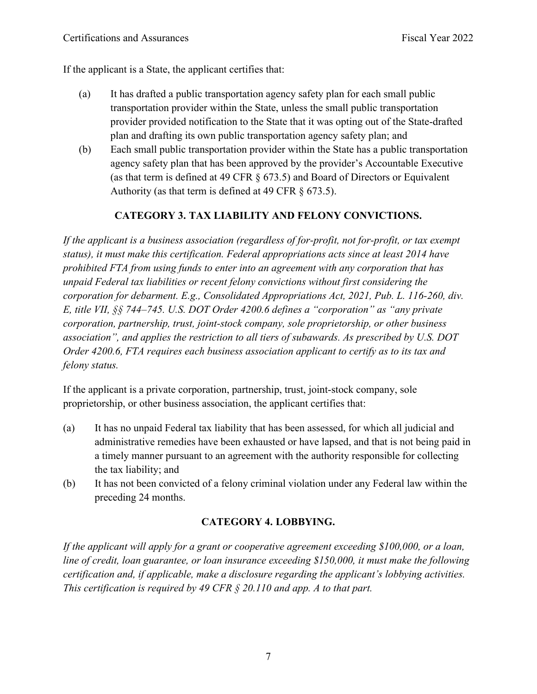If the applicant is a State, the applicant certifies that:

- (a) It has drafted a public transportation agency safety plan for each small public transportation provider within the State, unless the small public transportation provider provided notification to the State that it was opting out of the State-drafted plan and drafting its own public transportation agency safety plan; and
- (b) Each small public transportation provider within the State has a public transportation agency safety plan that has been approved by the provider's Accountable Executive (as that term is defined at 49 CFR § 673.5) and Board of Directors or Equivalent Authority (as that term is defined at 49 CFR  $\S$  673.5).

## **CATEGORY 3. TAX LIABILITY AND FELONY CONVICTIONS.**

*If the applicant is a business association (regardless of for-profit, not for-profit, or tax exempt status), it must make this certification. Federal appropriations acts since at least 2014 have prohibited FTA from using funds to enter into an agreement with any corporation that has unpaid Federal tax liabilities or recent felony convictions without first considering the corporation for debarment. E.g., Consolidated Appropriations Act, 2021, Pub. L. 116-260, div. E, title VII, §§ 744–745. U.S. DOT Order 4200.6 defines a "corporation" as "any private corporation, partnership, trust, joint-stock company, sole proprietorship, or other business association", and applies the restriction to all tiers of subawards. As prescribed by U.S. DOT Order 4200.6, FTA requires each business association applicant to certify as to its tax and felony status.*

If the applicant is a private corporation, partnership, trust, joint-stock company, sole proprietorship, or other business association, the applicant certifies that:

- (a) It has no unpaid Federal tax liability that has been assessed, for which all judicial and administrative remedies have been exhausted or have lapsed, and that is not being paid in a timely manner pursuant to an agreement with the authority responsible for collecting the tax liability; and
- (b) It has not been convicted of a felony criminal violation under any Federal law within the preceding 24 months.

## **CATEGORY 4. LOBBYING.**

*If the applicant will apply for a grant or cooperative agreement exceeding \$100,000, or a loan, line of credit, loan guarantee, or loan insurance exceeding \$150,000, it must make the following certification and, if applicable, make a disclosure regarding the applicant's lobbying activities. This certification is required by 49 CFR § 20.110 and app. A to that part.*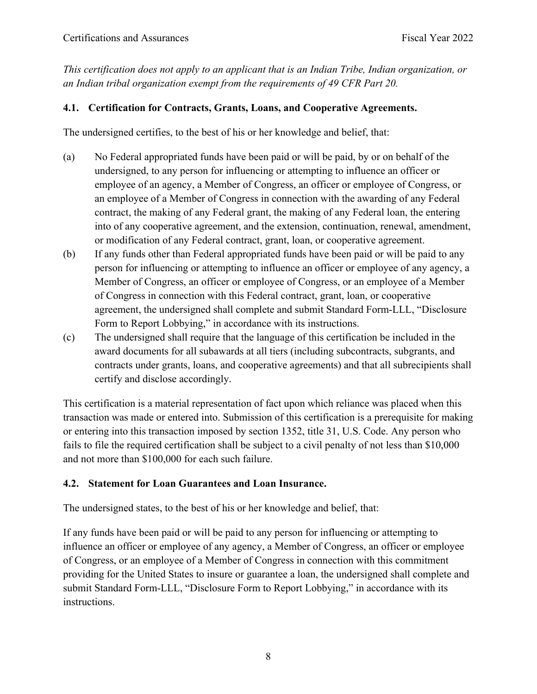*This certification does not apply to an applicant that is an Indian Tribe, Indian organization, or an Indian tribal organization exempt from the requirements of 49 CFR Part 20.*

#### **4.1. Certification for Contracts, Grants, Loans, and Cooperative Agreements.**

The undersigned certifies, to the best of his or her knowledge and belief, that:

- (a) No Federal appropriated funds have been paid or will be paid, by or on behalf of the undersigned, to any person for influencing or attempting to influence an officer or employee of an agency, a Member of Congress, an officer or employee of Congress, or an employee of a Member of Congress in connection with the awarding of any Federal contract, the making of any Federal grant, the making of any Federal loan, the entering into of any cooperative agreement, and the extension, continuation, renewal, amendment, or modification of any Federal contract, grant, loan, or cooperative agreement.
- (b) If any funds other than Federal appropriated funds have been paid or will be paid to any person for influencing or attempting to influence an officer or employee of any agency, a Member of Congress, an officer or employee of Congress, or an employee of a Member of Congress in connection with this Federal contract, grant, loan, or cooperative agreement, the undersigned shall complete and submit Standard Form-LLL, "Disclosure Form to Report Lobbying," in accordance with its instructions.
- (c) The undersigned shall require that the language of this certification be included in the award documents for all subawards at all tiers (including subcontracts, subgrants, and contracts under grants, loans, and cooperative agreements) and that all subrecipients shall certify and disclose accordingly.

This certification is a material representation of fact upon which reliance was placed when this transaction was made or entered into. Submission of this certification is a prerequisite for making or entering into this transaction imposed by section 1352, title 31, U.S. Code. Any person who fails to file the required certification shall be subject to a civil penalty of not less than \$10,000 and not more than \$100,000 for each such failure.

#### **4.2. Statement for Loan Guarantees and Loan Insurance.**

The undersigned states, to the best of his or her knowledge and belief, that:

If any funds have been paid or will be paid to any person for influencing or attempting to influence an officer or employee of any agency, a Member of Congress, an officer or employee of Congress, or an employee of a Member of Congress in connection with this commitment providing for the United States to insure or guarantee a loan, the undersigned shall complete and submit Standard Form-LLL, "Disclosure Form to Report Lobbying," in accordance with its instructions.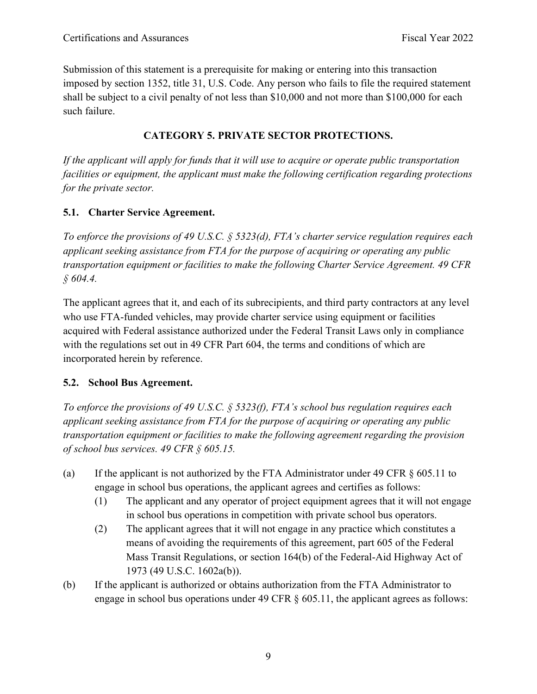Submission of this statement is a prerequisite for making or entering into this transaction imposed by section 1352, title 31, U.S. Code. Any person who fails to file the required statement shall be subject to a civil penalty of not less than \$10,000 and not more than \$100,000 for each such failure.

## **CATEGORY 5. PRIVATE SECTOR PROTECTIONS.**

*If the applicant will apply for funds that it will use to acquire or operate public transportation facilities or equipment, the applicant must make the following certification regarding protections for the private sector.*

## **5.1. Charter Service Agreement.**

*To enforce the provisions of 49 U.S.C. § 5323(d), FTA's charter service regulation requires each applicant seeking assistance from FTA for the purpose of acquiring or operating any public transportation equipment or facilities to make the following Charter Service Agreement. 49 CFR § 604.4.*

The applicant agrees that it, and each of its subrecipients, and third party contractors at any level who use FTA-funded vehicles, may provide charter service using equipment or facilities acquired with Federal assistance authorized under the Federal Transit Laws only in compliance with the regulations set out in 49 CFR Part 604, the terms and conditions of which are incorporated herein by reference.

## **5.2. School Bus Agreement.**

*To enforce the provisions of 49 U.S.C. § 5323(f), FTA's school bus regulation requires each applicant seeking assistance from FTA for the purpose of acquiring or operating any public transportation equipment or facilities to make the following agreement regarding the provision of school bus services. 49 CFR § 605.15.*

- (a) If the applicant is not authorized by the FTA Administrator under 49 CFR § 605.11 to engage in school bus operations, the applicant agrees and certifies as follows:
	- (1) The applicant and any operator of project equipment agrees that it will not engage in school bus operations in competition with private school bus operators.
	- (2) The applicant agrees that it will not engage in any practice which constitutes a means of avoiding the requirements of this agreement, part 605 of the Federal Mass Transit Regulations, or section 164(b) of the Federal-Aid Highway Act of 1973 (49 U.S.C. 1602a(b)).
- (b) If the applicant is authorized or obtains authorization from the FTA Administrator to engage in school bus operations under 49 CFR  $\S$  605.11, the applicant agrees as follows: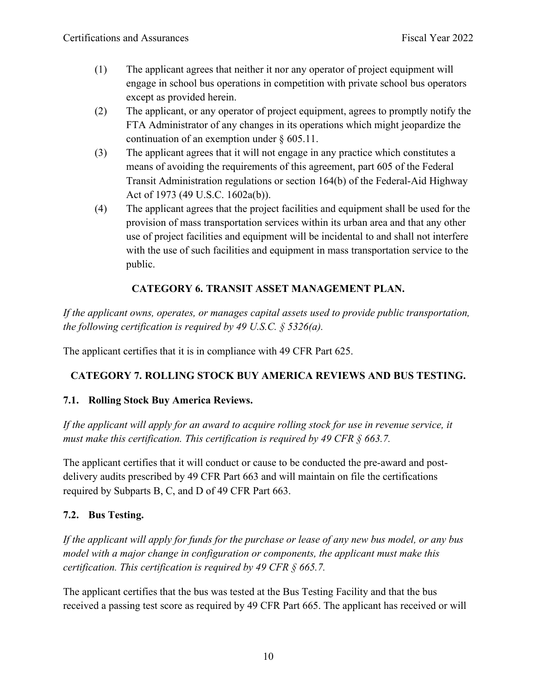- (1) The applicant agrees that neither it nor any operator of project equipment will engage in school bus operations in competition with private school bus operators except as provided herein.
- (2) The applicant, or any operator of project equipment, agrees to promptly notify the FTA Administrator of any changes in its operations which might jeopardize the continuation of an exemption under § 605.11.
- (3) The applicant agrees that it will not engage in any practice which constitutes a means of avoiding the requirements of this agreement, part 605 of the Federal Transit Administration regulations or section 164(b) of the Federal-Aid Highway Act of 1973 (49 U.S.C. 1602a(b)).
- (4) The applicant agrees that the project facilities and equipment shall be used for the provision of mass transportation services within its urban area and that any other use of project facilities and equipment will be incidental to and shall not interfere with the use of such facilities and equipment in mass transportation service to the public.

## **CATEGORY 6. TRANSIT ASSET MANAGEMENT PLAN.**

*If the applicant owns, operates, or manages capital assets used to provide public transportation, the following certification is required by 49 U.S.C. § 5326(a).*

The applicant certifies that it is in compliance with 49 CFR Part 625.

## **CATEGORY 7. ROLLING STOCK BUY AMERICA REVIEWS AND BUS TESTING.**

## **7.1. Rolling Stock Buy America Reviews.**

*If the applicant will apply for an award to acquire rolling stock for use in revenue service, it must make this certification. This certification is required by 49 CFR § 663.7.*

The applicant certifies that it will conduct or cause to be conducted the pre-award and postdelivery audits prescribed by 49 CFR Part 663 and will maintain on file the certifications required by Subparts B, C, and D of 49 CFR Part 663.

#### **7.2. Bus Testing.**

*If the applicant will apply for funds for the purchase or lease of any new bus model, or any bus model with a major change in configuration or components, the applicant must make this certification. This certification is required by 49 CFR § 665.7.*

The applicant certifies that the bus was tested at the Bus Testing Facility and that the bus received a passing test score as required by 49 CFR Part 665. The applicant has received or will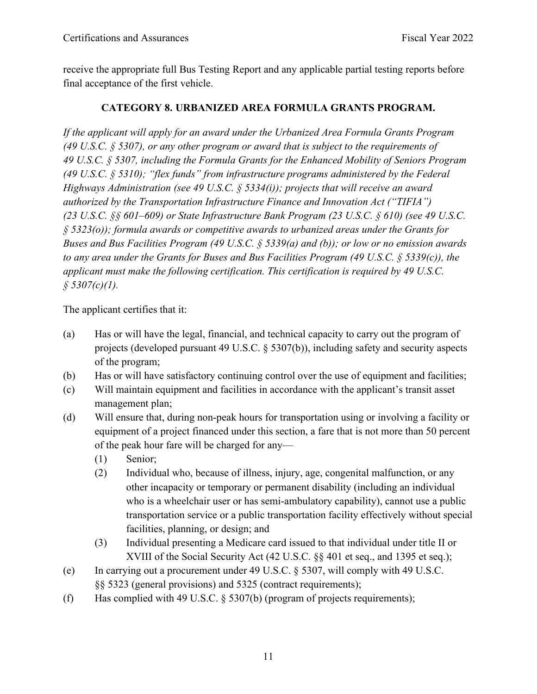receive the appropriate full Bus Testing Report and any applicable partial testing reports before final acceptance of the first vehicle.

## **CATEGORY 8. URBANIZED AREA FORMULA GRANTS PROGRAM.**

*If the applicant will apply for an award under the Urbanized Area Formula Grants Program (49 U.S.C. § 5307), or any other program or award that is subject to the requirements of 49 U.S.C. § 5307, including the Formula Grants for the Enhanced Mobility of Seniors Program (49 U.S.C. § 5310); "flex funds" from infrastructure programs administered by the Federal Highways Administration (see 49 U.S.C. § 5334(i)); projects that will receive an award authorized by the Transportation Infrastructure Finance and Innovation Act ("TIFIA") (23 U.S.C. §§ 601–609) or State Infrastructure Bank Program (23 U.S.C. § 610) (see 49 U.S.C. § 5323(o)); formula awards or competitive awards to urbanized areas under the Grants for Buses and Bus Facilities Program (49 U.S.C. § 5339(a) and (b)); or low or no emission awards to any area under the Grants for Buses and Bus Facilities Program (49 U.S.C. § 5339(c)), the applicant must make the following certification. This certification is required by 49 U.S.C. § 5307(c)(1).*

The applicant certifies that it:

- (a) Has or will have the legal, financial, and technical capacity to carry out the program of projects (developed pursuant 49 U.S.C. § 5307(b)), including safety and security aspects of the program;
- (b) Has or will have satisfactory continuing control over the use of equipment and facilities;
- (c) Will maintain equipment and facilities in accordance with the applicant's transit asset management plan;
- (d) Will ensure that, during non-peak hours for transportation using or involving a facility or equipment of a project financed under this section, a fare that is not more than 50 percent of the peak hour fare will be charged for any—
	- (1) Senior;
	- (2) Individual who, because of illness, injury, age, congenital malfunction, or any other incapacity or temporary or permanent disability (including an individual who is a wheelchair user or has semi-ambulatory capability), cannot use a public transportation service or a public transportation facility effectively without special facilities, planning, or design; and
	- (3) Individual presenting a Medicare card issued to that individual under title II or XVIII of the Social Security Act (42 U.S.C. §§ 401 et seq., and 1395 et seq.);
- (e) In carrying out a procurement under 49 U.S.C. § 5307, will comply with 49 U.S.C. §§ 5323 (general provisions) and 5325 (contract requirements);
- (f) Has complied with 49 U.S.C. § 5307(b) (program of projects requirements);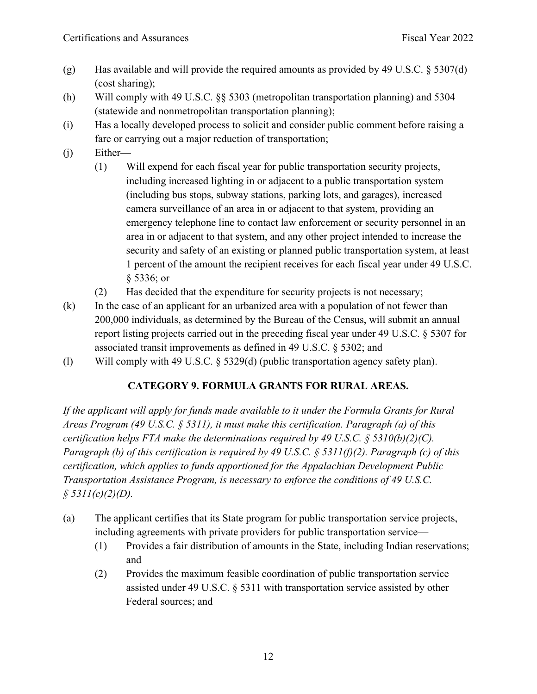- (g) Has available and will provide the required amounts as provided by 49 U.S.C.  $\S 5307(d)$ (cost sharing);
- (h) Will comply with 49 U.S.C. §§ 5303 (metropolitan transportation planning) and 5304 (statewide and nonmetropolitan transportation planning);
- (i) Has a locally developed process to solicit and consider public comment before raising a fare or carrying out a major reduction of transportation;
- (j) Either—
	- (1) Will expend for each fiscal year for public transportation security projects, including increased lighting in or adjacent to a public transportation system (including bus stops, subway stations, parking lots, and garages), increased camera surveillance of an area in or adjacent to that system, providing an emergency telephone line to contact law enforcement or security personnel in an area in or adjacent to that system, and any other project intended to increase the security and safety of an existing or planned public transportation system, at least 1 percent of the amount the recipient receives for each fiscal year under 49 U.S.C. § 5336; or
	- (2) Has decided that the expenditure for security projects is not necessary;
- (k) In the case of an applicant for an urbanized area with a population of not fewer than 200,000 individuals, as determined by the Bureau of the Census, will submit an annual report listing projects carried out in the preceding fiscal year under 49 U.S.C. § 5307 for associated transit improvements as defined in 49 U.S.C. § 5302; and
- (l) Will comply with 49 U.S.C. § 5329(d) (public transportation agency safety plan).

## **CATEGORY 9. FORMULA GRANTS FOR RURAL AREAS.**

*If the applicant will apply for funds made available to it under the Formula Grants for Rural Areas Program (49 U.S.C. § 5311), it must make this certification. Paragraph (a) of this certification helps FTA make the determinations required by 49 U.S.C. § 5310(b)(2)(C). Paragraph (b) of this certification is required by 49 U.S.C. § 5311(f)(2). Paragraph (c) of this certification, which applies to funds apportioned for the Appalachian Development Public Transportation Assistance Program, is necessary to enforce the conditions of 49 U.S.C. § 5311(c)(2)(D).*

- (a) The applicant certifies that its State program for public transportation service projects, including agreements with private providers for public transportation service—
	- (1) Provides a fair distribution of amounts in the State, including Indian reservations; and
	- (2) Provides the maximum feasible coordination of public transportation service assisted under 49 U.S.C. § 5311 with transportation service assisted by other Federal sources; and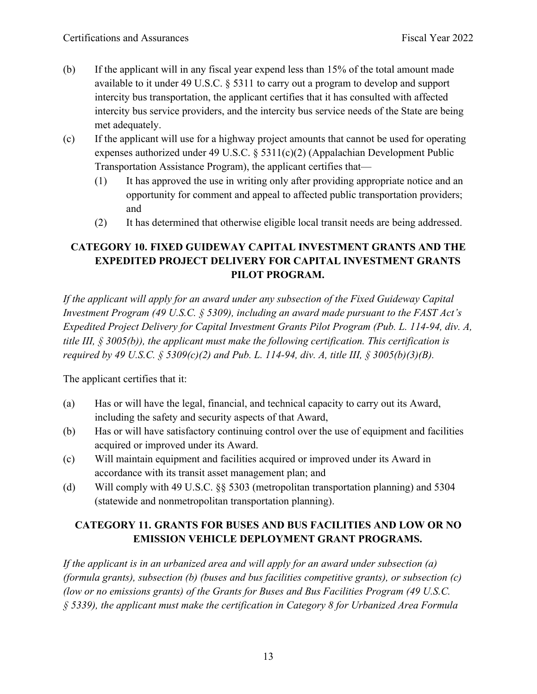- (b) If the applicant will in any fiscal year expend less than 15% of the total amount made available to it under 49 U.S.C. § 5311 to carry out a program to develop and support intercity bus transportation, the applicant certifies that it has consulted with affected intercity bus service providers, and the intercity bus service needs of the State are being met adequately.
- (c) If the applicant will use for a highway project amounts that cannot be used for operating expenses authorized under 49 U.S.C. § 5311(c)(2) (Appalachian Development Public Transportation Assistance Program), the applicant certifies that—
	- (1) It has approved the use in writing only after providing appropriate notice and an opportunity for comment and appeal to affected public transportation providers; and
	- (2) It has determined that otherwise eligible local transit needs are being addressed.

# **CATEGORY 10. FIXED GUIDEWAY CAPITAL INVESTMENT GRANTS AND THE EXPEDITED PROJECT DELIVERY FOR CAPITAL INVESTMENT GRANTS PILOT PROGRAM.**

*If the applicant will apply for an award under any subsection of the Fixed Guideway Capital Investment Program (49 U.S.C. § 5309), including an award made pursuant to the FAST Act's Expedited Project Delivery for Capital Investment Grants Pilot Program (Pub. L. 114-94, div. A, title III, § 3005(b)), the applicant must make the following certification. This certification is required by 49 U.S.C. § 5309(c)(2) and Pub. L. 114-94, div. A, title III, § 3005(b)(3)(B).*

The applicant certifies that it:

- (a) Has or will have the legal, financial, and technical capacity to carry out its Award, including the safety and security aspects of that Award,
- (b) Has or will have satisfactory continuing control over the use of equipment and facilities acquired or improved under its Award.
- (c) Will maintain equipment and facilities acquired or improved under its Award in accordance with its transit asset management plan; and
- (d) Will comply with 49 U.S.C. §§ 5303 (metropolitan transportation planning) and 5304 (statewide and nonmetropolitan transportation planning).

# **CATEGORY 11. GRANTS FOR BUSES AND BUS FACILITIES AND LOW OR NO EMISSION VEHICLE DEPLOYMENT GRANT PROGRAMS.**

*If the applicant is in an urbanized area and will apply for an award under subsection (a) (formula grants), subsection (b) (buses and bus facilities competitive grants), or subsection (c) (low or no emissions grants) of the Grants for Buses and Bus Facilities Program (49 U.S.C. § 5339), the applicant must make the certification in Category 8 for Urbanized Area Formula*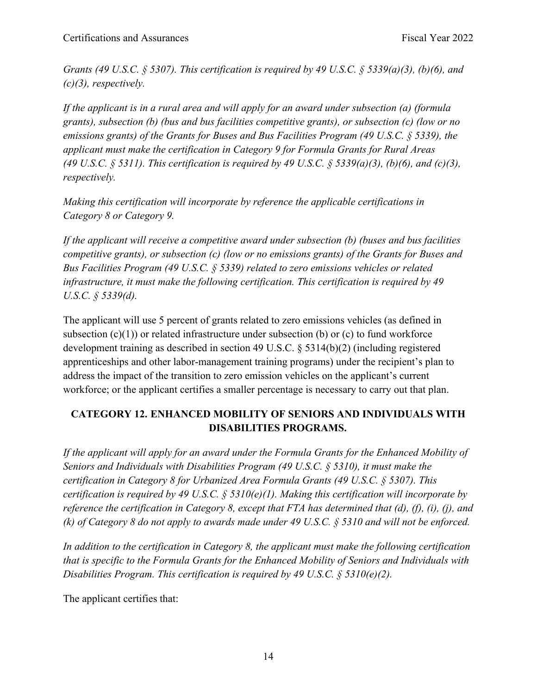*Grants (49 U.S.C. § 5307). This certification is required by 49 U.S.C. § 5339(a)(3), (b)(6), and (c)(3), respectively.*

*If the applicant is in a rural area and will apply for an award under subsection (a) (formula grants), subsection (b) (bus and bus facilities competitive grants), or subsection (c) (low or no emissions grants) of the Grants for Buses and Bus Facilities Program (49 U.S.C. § 5339), the applicant must make the certification in Category 9 for Formula Grants for Rural Areas (49 U.S.C. § 5311). This certification is required by 49 U.S.C. § 5339(a)(3), (b)(6), and (c)(3), respectively.*

*Making this certification will incorporate by reference the applicable certifications in Category 8 or Category 9.*

*If the applicant will receive a competitive award under subsection (b) (buses and bus facilities competitive grants), or subsection (c) (low or no emissions grants) of the Grants for Buses and Bus Facilities Program (49 U.S.C. § 5339) related to zero emissions vehicles or related infrastructure, it must make the following certification. This certification is required by 49 U.S.C. § 5339(d).*

The applicant will use 5 percent of grants related to zero emissions vehicles (as defined in subsection  $(c)(1)$  or related infrastructure under subsection (b) or  $(c)$  to fund workforce development training as described in section 49 U.S.C. § 5314(b)(2) (including registered apprenticeships and other labor-management training programs) under the recipient's plan to address the impact of the transition to zero emission vehicles on the applicant's current workforce; or the applicant certifies a smaller percentage is necessary to carry out that plan.

## **CATEGORY 12. ENHANCED MOBILITY OF SENIORS AND INDIVIDUALS WITH DISABILITIES PROGRAMS.**

*If the applicant will apply for an award under the Formula Grants for the Enhanced Mobility of Seniors and Individuals with Disabilities Program (49 U.S.C. § 5310), it must make the certification in Category 8 for Urbanized Area Formula Grants (49 U.S.C. § 5307). This certification is required by 49 U.S.C. § 5310(e)(1). Making this certification will incorporate by reference the certification in Category 8, except that FTA has determined that (d), (f), (i), (j), and (k) of Category 8 do not apply to awards made under 49 U.S.C. § 5310 and will not be enforced.* 

*In addition to the certification in Category 8, the applicant must make the following certification that is specific to the Formula Grants for the Enhanced Mobility of Seniors and Individuals with Disabilities Program. This certification is required by 49 U.S.C. § 5310(e)(2).*

The applicant certifies that: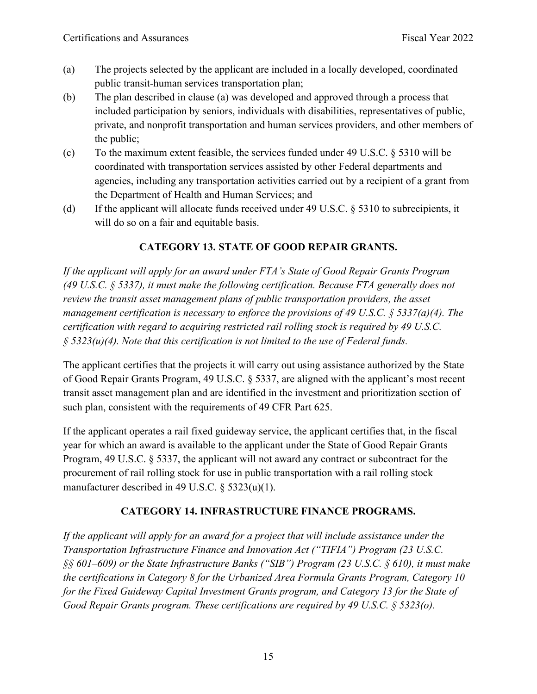- (a) The projects selected by the applicant are included in a locally developed, coordinated public transit-human services transportation plan;
- (b) The plan described in clause (a) was developed and approved through a process that included participation by seniors, individuals with disabilities, representatives of public, private, and nonprofit transportation and human services providers, and other members of the public;
- (c) To the maximum extent feasible, the services funded under 49 U.S.C. § 5310 will be coordinated with transportation services assisted by other Federal departments and agencies, including any transportation activities carried out by a recipient of a grant from the Department of Health and Human Services; and
- (d) If the applicant will allocate funds received under 49 U.S.C. § 5310 to subrecipients, it will do so on a fair and equitable basis.

# **CATEGORY 13. STATE OF GOOD REPAIR GRANTS.**

*If the applicant will apply for an award under FTA's State of Good Repair Grants Program (49 U.S.C. § 5337), it must make the following certification. Because FTA generally does not review the transit asset management plans of public transportation providers, the asset management certification is necessary to enforce the provisions of 49 U.S.C. § 5337(a)(4). The certification with regard to acquiring restricted rail rolling stock is required by 49 U.S.C. § 5323(u)(4). Note that this certification is not limited to the use of Federal funds.*

The applicant certifies that the projects it will carry out using assistance authorized by the State of Good Repair Grants Program, 49 U.S.C. § 5337, are aligned with the applicant's most recent transit asset management plan and are identified in the investment and prioritization section of such plan, consistent with the requirements of 49 CFR Part 625.

If the applicant operates a rail fixed guideway service, the applicant certifies that, in the fiscal year for which an award is available to the applicant under the State of Good Repair Grants Program, 49 U.S.C. § 5337, the applicant will not award any contract or subcontract for the procurement of rail rolling stock for use in public transportation with a rail rolling stock manufacturer described in 49 U.S.C. § 5323(u)(1).

## **CATEGORY 14. INFRASTRUCTURE FINANCE PROGRAMS.**

*If the applicant will apply for an award for a project that will include assistance under the Transportation Infrastructure Finance and Innovation Act ("TIFIA") Program (23 U.S.C. §§ 601–609) or the State Infrastructure Banks ("SIB") Program (23 U.S.C. § 610), it must make the certifications in Category 8 for the Urbanized Area Formula Grants Program, Category 10 for the Fixed Guideway Capital Investment Grants program, and Category 13 for the State of Good Repair Grants program. These certifications are required by 49 U.S.C. § 5323(o).*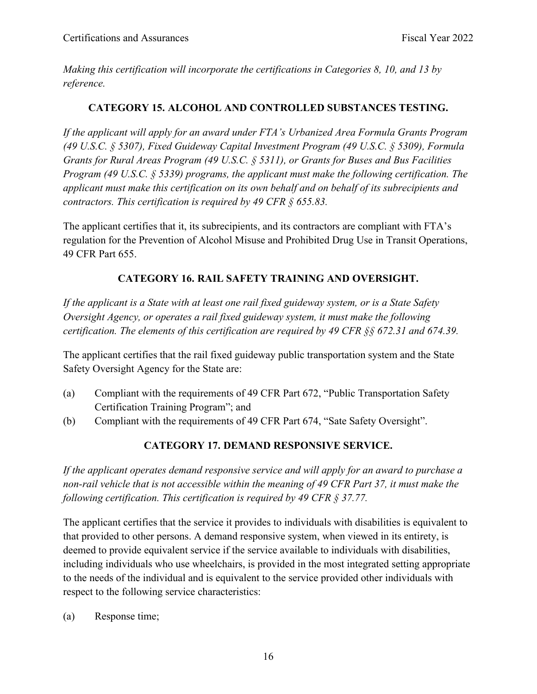*Making this certification will incorporate the certifications in Categories 8, 10, and 13 by reference.*

#### **CATEGORY 15. ALCOHOL AND CONTROLLED SUBSTANCES TESTING.**

*If the applicant will apply for an award under FTA's Urbanized Area Formula Grants Program (49 U.S.C. § 5307), Fixed Guideway Capital Investment Program (49 U.S.C. § 5309), Formula Grants for Rural Areas Program (49 U.S.C. § 5311), or Grants for Buses and Bus Facilities Program (49 U.S.C. § 5339) programs, the applicant must make the following certification. The applicant must make this certification on its own behalf and on behalf of its subrecipients and contractors. This certification is required by 49 CFR § 655.83.*

The applicant certifies that it, its subrecipients, and its contractors are compliant with FTA's regulation for the Prevention of Alcohol Misuse and Prohibited Drug Use in Transit Operations, 49 CFR Part 655.

## **CATEGORY 16. RAIL SAFETY TRAINING AND OVERSIGHT.**

*If the applicant is a State with at least one rail fixed guideway system, or is a State Safety Oversight Agency, or operates a rail fixed guideway system, it must make the following certification. The elements of this certification are required by 49 CFR §§ 672.31 and 674.39.*

The applicant certifies that the rail fixed guideway public transportation system and the State Safety Oversight Agency for the State are:

- (a) Compliant with the requirements of 49 CFR Part 672, "Public Transportation Safety Certification Training Program"; and
- (b) Compliant with the requirements of 49 CFR Part 674, "Sate Safety Oversight".

## **CATEGORY 17. DEMAND RESPONSIVE SERVICE.**

*If the applicant operates demand responsive service and will apply for an award to purchase a non-rail vehicle that is not accessible within the meaning of 49 CFR Part 37, it must make the following certification. This certification is required by 49 CFR § 37.77.*

The applicant certifies that the service it provides to individuals with disabilities is equivalent to that provided to other persons. A demand responsive system, when viewed in its entirety, is deemed to provide equivalent service if the service available to individuals with disabilities, including individuals who use wheelchairs, is provided in the most integrated setting appropriate to the needs of the individual and is equivalent to the service provided other individuals with respect to the following service characteristics:

(a) Response time;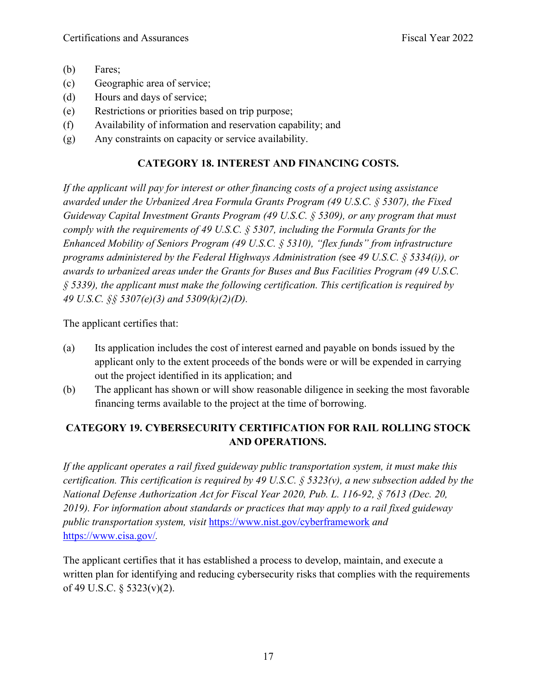- (b) Fares;
- (c) Geographic area of service;
- (d) Hours and days of service;
- (e) Restrictions or priorities based on trip purpose;
- (f) Availability of information and reservation capability; and
- (g) Any constraints on capacity or service availability.

#### **CATEGORY 18. INTEREST AND FINANCING COSTS.**

*If the applicant will pay for interest or other financing costs of a project using assistance awarded under the Urbanized Area Formula Grants Program (49 U.S.C. § 5307), the Fixed Guideway Capital Investment Grants Program (49 U.S.C. § 5309), or any program that must comply with the requirements of 49 U.S.C. § 5307, including the Formula Grants for the Enhanced Mobility of Seniors Program (49 U.S.C. § 5310), "flex funds" from infrastructure programs administered by the Federal Highways Administration (*see *49 U.S.C. § 5334(i)), or awards to urbanized areas under the Grants for Buses and Bus Facilities Program (49 U.S.C. § 5339), the applicant must make the following certification. This certification is required by 49 U.S.C. §§ 5307(e)(3) and 5309(k)(2)(D).*

The applicant certifies that:

- (a) Its application includes the cost of interest earned and payable on bonds issued by the applicant only to the extent proceeds of the bonds were or will be expended in carrying out the project identified in its application; and
- (b) The applicant has shown or will show reasonable diligence in seeking the most favorable financing terms available to the project at the time of borrowing.

## **CATEGORY 19. CYBERSECURITY CERTIFICATION FOR RAIL ROLLING STOCK AND OPERATIONS.**

*If the applicant operates a rail fixed guideway public transportation system, it must make this certification. This certification is required by 49 U.S.C. § 5323(v), a new subsection added by the National Defense Authorization Act for Fiscal Year 2020, Pub. L. 116-92, § 7613 (Dec. 20, 2019). For information about standards or practices that may apply to a rail fixed guideway public transportation system, visit* <https://www.nist.gov/cyberframework> *and*  <https://www.cisa.gov/>*.*

The applicant certifies that it has established a process to develop, maintain, and execute a written plan for identifying and reducing cybersecurity risks that complies with the requirements of 49 U.S.C. § 5323(v)(2).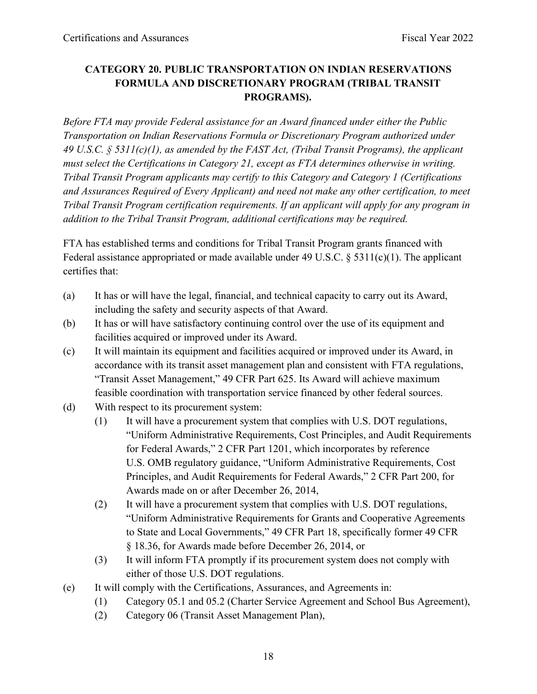## **CATEGORY 20. PUBLIC TRANSPORTATION ON INDIAN RESERVATIONS FORMULA AND DISCRETIONARY PROGRAM (TRIBAL TRANSIT PROGRAMS).**

*Before FTA may provide Federal assistance for an Award financed under either the Public Transportation on Indian Reservations Formula or Discretionary Program authorized under 49 U.S.C. § 5311(c)(1), as amended by the FAST Act, (Tribal Transit Programs), the applicant must select the Certifications in Category 21, except as FTA determines otherwise in writing. Tribal Transit Program applicants may certify to this Category and Category 1 (Certifications and Assurances Required of Every Applicant) and need not make any other certification, to meet Tribal Transit Program certification requirements. If an applicant will apply for any program in addition to the Tribal Transit Program, additional certifications may be required.* 

FTA has established terms and conditions for Tribal Transit Program grants financed with Federal assistance appropriated or made available under 49 U.S.C. § 5311(c)(1). The applicant certifies that:

- (a) It has or will have the legal, financial, and technical capacity to carry out its Award, including the safety and security aspects of that Award.
- (b) It has or will have satisfactory continuing control over the use of its equipment and facilities acquired or improved under its Award.
- (c) It will maintain its equipment and facilities acquired or improved under its Award, in accordance with its transit asset management plan and consistent with FTA regulations, "Transit Asset Management," 49 CFR Part 625. Its Award will achieve maximum feasible coordination with transportation service financed by other federal sources.
- (d) With respect to its procurement system:
	- (1) It will have a procurement system that complies with U.S. DOT regulations, "Uniform Administrative Requirements, Cost Principles, and Audit Requirements for Federal Awards," 2 CFR Part 1201, which incorporates by reference U.S. OMB regulatory guidance, "Uniform Administrative Requirements, Cost Principles, and Audit Requirements for Federal Awards," 2 CFR Part 200, for Awards made on or after December 26, 2014,
	- (2) It will have a procurement system that complies with U.S. DOT regulations, "Uniform Administrative Requirements for Grants and Cooperative Agreements to State and Local Governments," 49 CFR Part 18, specifically former 49 CFR § 18.36, for Awards made before December 26, 2014, or
	- (3) It will inform FTA promptly if its procurement system does not comply with either of those U.S. DOT regulations.
- (e) It will comply with the Certifications, Assurances, and Agreements in:
	- (1) Category 05.1 and 05.2 (Charter Service Agreement and School Bus Agreement),
	- (2) Category 06 (Transit Asset Management Plan),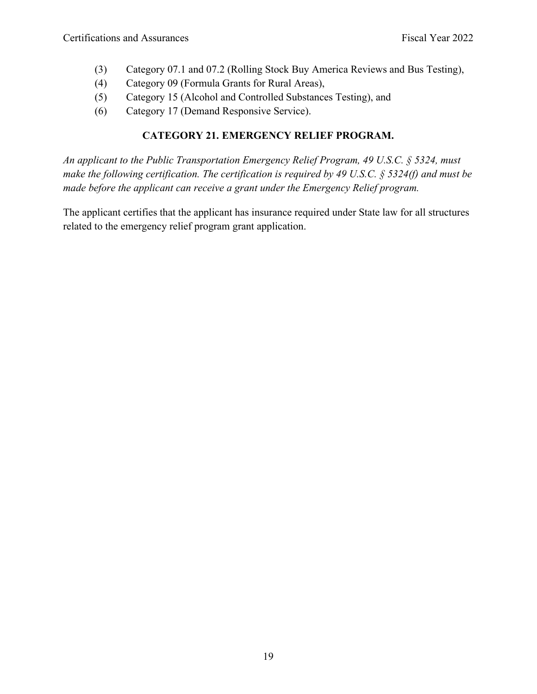- (3) Category 07.1 and 07.2 (Rolling Stock Buy America Reviews and Bus Testing),
- (4) Category 09 (Formula Grants for Rural Areas),
- (5) Category 15 (Alcohol and Controlled Substances Testing), and
- (6) Category 17 (Demand Responsive Service).

#### **CATEGORY 21. EMERGENCY RELIEF PROGRAM.**

*An applicant to the Public Transportation Emergency Relief Program, 49 U.S.C. § 5324, must make the following certification. The certification is required by 49 U.S.C. § 5324(f) and must be made before the applicant can receive a grant under the Emergency Relief program.*

The applicant certifies that the applicant has insurance required under State law for all structures related to the emergency relief program grant application.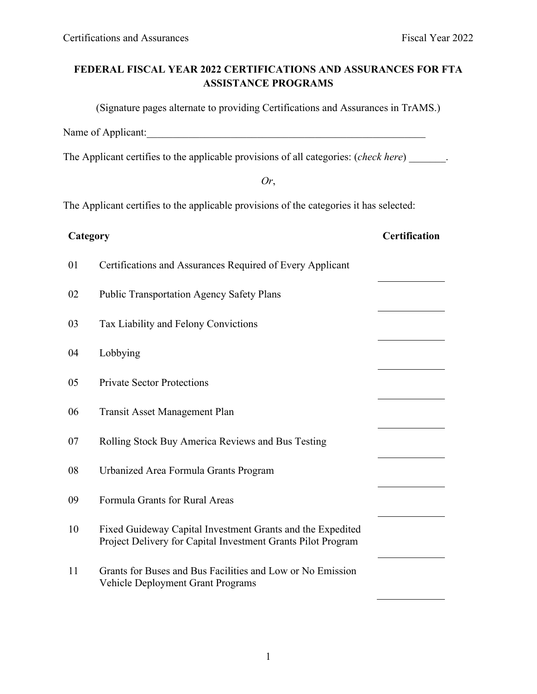# **FEDERAL FISCAL YEAR 2022 CERTIFICATIONS AND ASSURANCES FOR FTA ASSISTANCE PROGRAMS**

(Signature pages alternate to providing Certifications and Assurances in TrAMS.)

Name of Applicant:\_\_\_\_\_\_\_\_\_\_\_\_\_\_\_\_\_\_\_\_\_\_\_\_\_\_\_\_\_\_\_\_\_\_\_\_\_\_\_\_\_\_\_\_\_\_\_\_\_\_\_\_\_

The Applicant certifies to the applicable provisions of all categories: (*check here*) \_\_\_\_\_\_\_.

*Or*,

The Applicant certifies to the applicable provisions of the categories it has selected:

| Category |                                                                                                                            | <b>Certification</b> |
|----------|----------------------------------------------------------------------------------------------------------------------------|----------------------|
| 01       | Certifications and Assurances Required of Every Applicant                                                                  |                      |
| 02       | <b>Public Transportation Agency Safety Plans</b>                                                                           |                      |
| 03       | Tax Liability and Felony Convictions                                                                                       |                      |
| 04       | Lobbying                                                                                                                   |                      |
| 05       | <b>Private Sector Protections</b>                                                                                          |                      |
| 06       | <b>Transit Asset Management Plan</b>                                                                                       |                      |
| 07       | Rolling Stock Buy America Reviews and Bus Testing                                                                          |                      |
| 08       | Urbanized Area Formula Grants Program                                                                                      |                      |
| 09       | Formula Grants for Rural Areas                                                                                             |                      |
| 10       | Fixed Guideway Capital Investment Grants and the Expedited<br>Project Delivery for Capital Investment Grants Pilot Program |                      |
| 11       | Grants for Buses and Bus Facilities and Low or No Emission<br><b>Vehicle Deployment Grant Programs</b>                     |                      |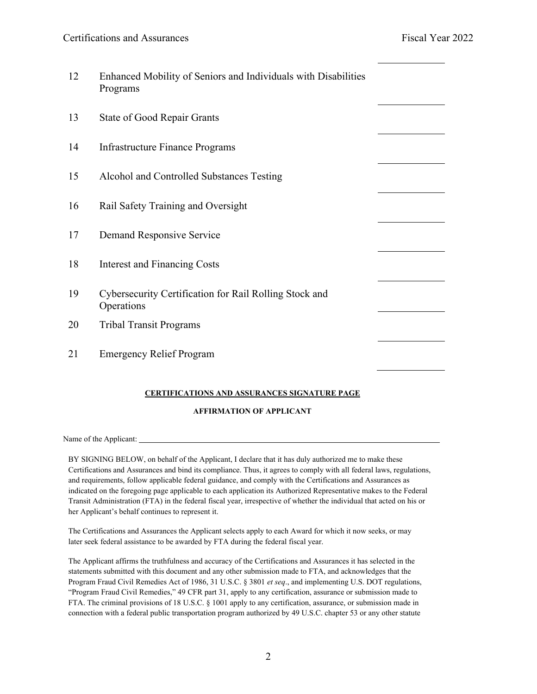| Enhanced Mobility of Seniors and Individuals with Disabilities<br>Programs |  |
|----------------------------------------------------------------------------|--|
| <b>State of Good Repair Grants</b>                                         |  |
| <b>Infrastructure Finance Programs</b>                                     |  |
| Alcohol and Controlled Substances Testing                                  |  |
| Rail Safety Training and Oversight                                         |  |
| Demand Responsive Service                                                  |  |
| <b>Interest and Financing Costs</b>                                        |  |
| Cybersecurity Certification for Rail Rolling Stock and<br>Operations       |  |
| <b>Tribal Transit Programs</b>                                             |  |
| <b>Emergency Relief Program</b>                                            |  |
|                                                                            |  |

#### **CERTIFICATIONS AND ASSURANCES SIGNATURE PAGE**

#### **AFFIRMATION OF APPLICANT**

Name of the Applicant:

BY SIGNING BELOW, on behalf of the Applicant, I declare that it has duly authorized me to make these Certifications and Assurances and bind its compliance. Thus, it agrees to comply with all federal laws, regulations, and requirements, follow applicable federal guidance, and comply with the Certifications and Assurances as indicated on the foregoing page applicable to each application its Authorized Representative makes to the Federal Transit Administration (FTA) in the federal fiscal year, irrespective of whether the individual that acted on his or her Applicant's behalf continues to represent it.

The Certifications and Assurances the Applicant selects apply to each Award for which it now seeks, or may later seek federal assistance to be awarded by FTA during the federal fiscal year.

The Applicant affirms the truthfulness and accuracy of the Certifications and Assurances it has selected in the statements submitted with this document and any other submission made to FTA, and acknowledges that the Program Fraud Civil Remedies Act of 1986, 31 U.S.C. § 3801 *et seq*., and implementing U.S. DOT regulations, "Program Fraud Civil Remedies," 49 CFR part 31, apply to any certification, assurance or submission made to FTA. The criminal provisions of 18 U.S.C. § 1001 apply to any certification, assurance, or submission made in connection with a federal public transportation program authorized by 49 U.S.C. chapter 53 or any other statute